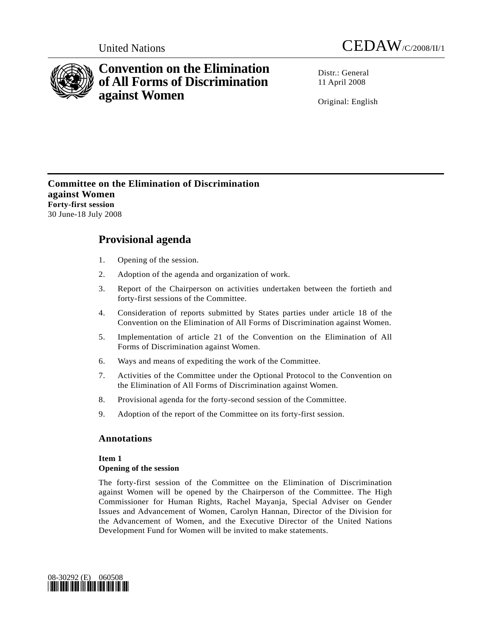



# **Convention on the Elimination of All Forms of Discrimination against Women**

 $Distr: General$ 11 April 2008

Original: English

**Committee on the Elimination of Discrimination against Women Forty-first session**  30 June-18 July 2008

# **Provisional agenda**

- 1. Opening of the session.
- 2. Adoption of the agenda and organization of work.
- 3. Report of the Chairperson on activities undertaken between the fortieth and forty-first sessions of the Committee.
- 4. Consideration of reports submitted by States parties under article 18 of the Convention on the Elimination of All Forms of Discrimination against Women.
- 5. Implementation of article 21 of the Convention on the Elimination of All Forms of Discrimination against Women.
- 6. Ways and means of expediting the work of the Committee.
- 7. Activities of the Committee under the Optional Protocol to the Convention on the Elimination of All Forms of Discrimination against Women.
- 8. Provisional agenda for the forty-second session of the Committee.
- 9. Adoption of the report of the Committee on its forty-first session.

# **Annotations**

# **Item 1**

# **Opening of the session**

The forty-first session of the Committee on the Elimination of Discrimination against Women will be opened by the Chairperson of the Committee. The High Commissioner for Human Rights, Rachel Mayanja, Special Adviser on Gender Issues and Advancement of Women, Carolyn Hannan, Director of the Division for the Advancement of Women, and the Executive Director of the United Nations Development Fund for Women will be invited to make statements.

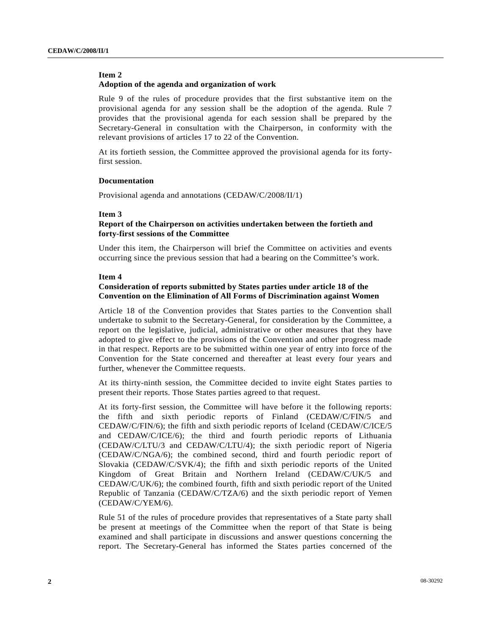# **Item 2**

#### **Adoption of the agenda and organization of work**

Rule 9 of the rules of procedure provides that the first substantive item on the provisional agenda for any session shall be the adoption of the agenda. Rule 7 provides that the provisional agenda for each session shall be prepared by the Secretary-General in consultation with the Chairperson, in conformity with the relevant provisions of articles 17 to 22 of the Convention.

At its fortieth session, the Committee approved the provisional agenda for its fortyfirst session.

#### **Documentation**

Provisional agenda and annotations (CEDAW/C/2008/II/1)

#### **Item 3**

#### **Report of the Chairperson on activities undertaken between the fortieth and forty-first sessions of the Committee**

Under this item, the Chairperson will brief the Committee on activities and events occurring since the previous session that had a bearing on the Committee's work.

#### **Item 4**

### **Consideration of reports submitted by States parties under article 18 of the Convention on the Elimination of All Forms of Discrimination against Women**

Article 18 of the Convention provides that States parties to the Convention shall undertake to submit to the Secretary-General, for consideration by the Committee, a report on the legislative, judicial, administrative or other measures that they have adopted to give effect to the provisions of the Convention and other progress made in that respect. Reports are to be submitted within one year of entry into force of the Convention for the State concerned and thereafter at least every four years and further, whenever the Committee requests.

At its thirty-ninth session, the Committee decided to invite eight States parties to present their reports. Those States parties agreed to that request.

At its forty-first session, the Committee will have before it the following reports: the fifth and sixth periodic reports of Finland (CEDAW/C/FIN/5 and CEDAW/C/FIN/6); the fifth and sixth periodic reports of Iceland (CEDAW/C/ICE/5 and CEDAW/C/ICE/6); the third and fourth periodic reports of Lithuania (CEDAW/C/LTU/3 and CEDAW/C/LTU/4); the sixth periodic report of Nigeria (CEDAW/C/NGA/6); the combined second, third and fourth periodic report of Slovakia (CEDAW/C/SVK/4); the fifth and sixth periodic reports of the United Kingdom of Great Britain and Northern Ireland (CEDAW/C/UK/5 and CEDAW/C/UK/6); the combined fourth, fifth and sixth periodic report of the United Republic of Tanzania (CEDAW/C/TZA/6) and the sixth periodic report of Yemen (CEDAW/C/YEM/6).

Rule 51 of the rules of procedure provides that representatives of a State party shall be present at meetings of the Committee when the report of that State is being examined and shall participate in discussions and answer questions concerning the report. The Secretary-General has informed the States parties concerned of the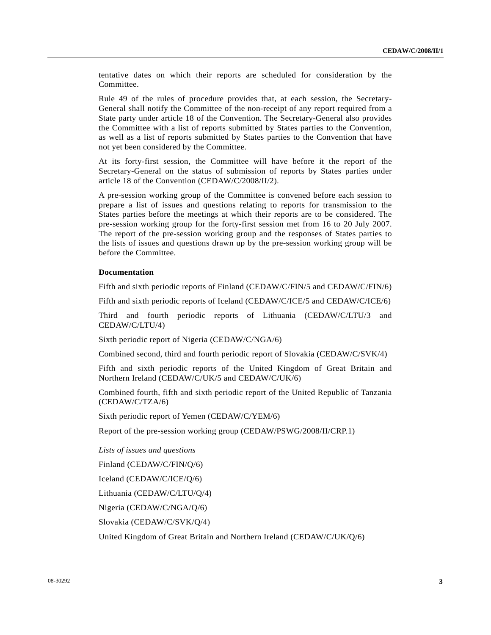tentative dates on which their reports are scheduled for consideration by the Committee.

Rule 49 of the rules of procedure provides that, at each session, the Secretary-General shall notify the Committee of the non-receipt of any report required from a State party under article 18 of the Convention. The Secretary-General also provides the Committee with a list of reports submitted by States parties to the Convention, as well as a list of reports submitted by States parties to the Convention that have not yet been considered by the Committee.

At its forty-first session, the Committee will have before it the report of the Secretary-General on the status of submission of reports by States parties under article 18 of the Convention (CEDAW/C/2008/II/2).

A pre-session working group of the Committee is convened before each session to prepare a list of issues and questions relating to reports for transmission to the States parties before the meetings at which their reports are to be considered. The pre-session working group for the forty-first session met from 16 to 20 July 2007. The report of the pre-session working group and the responses of States parties to the lists of issues and questions drawn up by the pre-session working group will be before the Committee.

#### **Documentation**

Fifth and sixth periodic reports of Finland (CEDAW/C/FIN/5 and CEDAW/C/FIN/6)

Fifth and sixth periodic reports of Iceland (CEDAW/C/ICE/5 and CEDAW/C/ICE/6)

Third and fourth periodic reports of Lithuania (CEDAW/C/LTU/3 and CEDAW/C/LTU/4)

Sixth periodic report of Nigeria (CEDAW/C/NGA/6)

Combined second, third and fourth periodic report of Slovakia (CEDAW/C/SVK/4)

Fifth and sixth periodic reports of the United Kingdom of Great Britain and Northern Ireland (CEDAW/C/UK/5 and CEDAW/C/UK/6)

Combined fourth, fifth and sixth periodic report of the United Republic of Tanzania (CEDAW/C/TZA/6)

Sixth periodic report of Yemen (CEDAW/C/YEM/6)

Report of the pre-session working group (CEDAW/PSWG/2008/II/CRP.1)

 *Lists of issues and questions* 

Finland (CEDAW/C/FIN/Q/6)

Iceland (CEDAW/C/ICE/Q/6)

Lithuania (CEDAW/C/LTU/Q/4)

Nigeria (CEDAW/C/NGA/Q/6)

Slovakia (CEDAW/C/SVK/Q/4)

United Kingdom of Great Britain and Northern Ireland (CEDAW/C/UK/Q/6)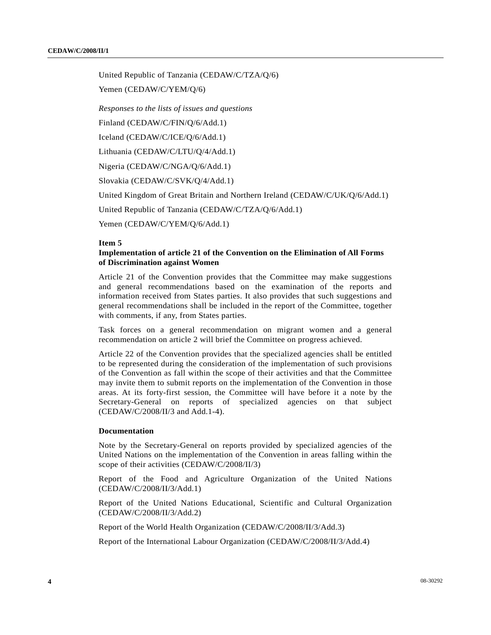United Republic of Tanzania (CEDAW/C/TZA/Q/6)

Yemen (CEDAW/C/YEM/Q/6)

 *Responses to the lists of issues and questions* 

Finland (CEDAW/C/FIN/Q/6/Add.1)

Iceland (CEDAW/C/ICE/Q/6/Add.1)

Lithuania (CEDAW/C/LTU/Q/4/Add.1)

Nigeria (CEDAW/C/NGA/Q/6/Add.1)

Slovakia (CEDAW/C/SVK/Q/4/Add.1)

United Kingdom of Great Britain and Northern Ireland (CEDAW/C/UK/Q/6/Add.1)

United Republic of Tanzania (CEDAW/C/TZA/Q/6/Add.1)

Yemen (CEDAW/C/YEM/Q/6/Add.1)

#### **Item 5**

### **Implementation of article 21 of the Convention on the Elimination of All Forms of Discrimination against Women**

Article 21 of the Convention provides that the Committee may make suggestions and general recommendations based on the examination of the reports and information received from States parties. It also provides that such suggestions and general recommendations shall be included in the report of the Committee, together with comments, if any, from States parties.

Task forces on a general recommendation on migrant women and a general recommendation on article 2 will brief the Committee on progress achieved.

Article 22 of the Convention provides that the specialized agencies shall be entitled to be represented during the consideration of the implementation of such provisions of the Convention as fall within the scope of their activities and that the Committee may invite them to submit reports on the implementation of the Convention in those areas. At its forty-first session, the Committee will have before it a note by the Secretary-General on reports of specialized agencies on that subject (CEDAW/C/2008/II/3 and Add.1-4).

#### **Documentation**

Note by the Secretary-General on reports provided by specialized agencies of the United Nations on the implementation of the Convention in areas falling within the scope of their activities (CEDAW/C/2008/II/3)

Report of the Food and Agriculture Organization of the United Nations (CEDAW/C/2008/II/3/Add.1)

Report of the United Nations Educational, Scientific and Cultural Organization (CEDAW/C/2008/II/3/Add.2)

Report of the World Health Organization (CEDAW/C/2008/II/3/Add.3)

Report of the International Labour Organization (CEDAW/C/2008/II/3/Add.4)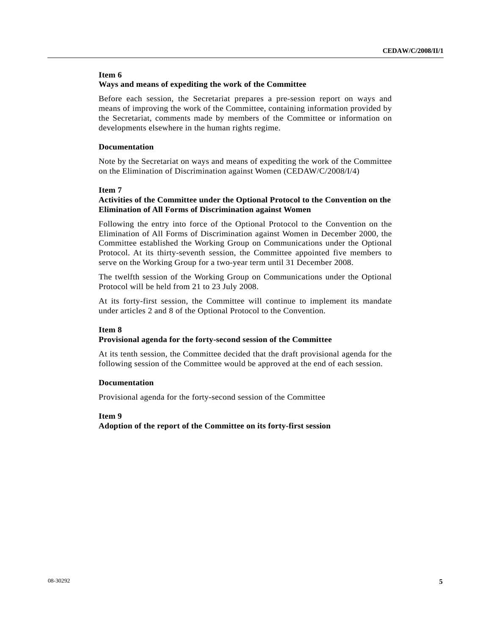# **Item 6**

#### **Ways and means of expediting the work of the Committee**

Before each session, the Secretariat prepares a pre-session report on ways and means of improving the work of the Committee, containing information provided by the Secretariat, comments made by members of the Committee or information on developments elsewhere in the human rights regime.

#### **Documentation**

Note by the Secretariat on ways and means of expediting the work of the Committee on the Elimination of Discrimination against Women (CEDAW/C/2008/I/4)

#### **Item 7**

# **Activities of the Committee under the Optional Protocol to the Convention on the Elimination of All Forms of Discrimination against Women**

Following the entry into force of the Optional Protocol to the Convention on the Elimination of All Forms of Discrimination against Women in December 2000, the Committee established the Working Group on Communications under the Optional Protocol. At its thirty-seventh session, the Committee appointed five members to serve on the Working Group for a two-year term until 31 December 2008.

The twelfth session of the Working Group on Communications under the Optional Protocol will be held from 21 to 23 July 2008.

At its forty-first session, the Committee will continue to implement its mandate under articles 2 and 8 of the Optional Protocol to the Convention.

#### **Item 8**

#### **Provisional agenda for the forty-second session of the Committee**

At its tenth session, the Committee decided that the draft provisional agenda for the following session of the Committee would be approved at the end of each session.

#### **Documentation**

Provisional agenda for the forty-second session of the Committee

#### **Item 9**

**Adoption of the report of the Committee on its forty-first session**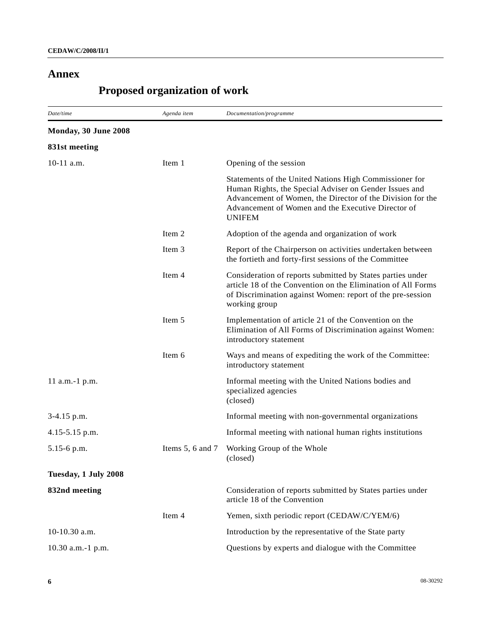# **Annex**

# **Proposed organization of work**

| Date/time            | Agenda item      | Documentation/programme                                                                                                                                                                                                                               |
|----------------------|------------------|-------------------------------------------------------------------------------------------------------------------------------------------------------------------------------------------------------------------------------------------------------|
| Monday, 30 June 2008 |                  |                                                                                                                                                                                                                                                       |
| 831st meeting        |                  |                                                                                                                                                                                                                                                       |
| 10-11 a.m.           | Item 1           | Opening of the session                                                                                                                                                                                                                                |
|                      |                  | Statements of the United Nations High Commissioner for<br>Human Rights, the Special Adviser on Gender Issues and<br>Advancement of Women, the Director of the Division for the<br>Advancement of Women and the Executive Director of<br><b>UNIFEM</b> |
|                      | Item 2           | Adoption of the agenda and organization of work                                                                                                                                                                                                       |
|                      | Item 3           | Report of the Chairperson on activities undertaken between<br>the fortieth and forty-first sessions of the Committee                                                                                                                                  |
|                      | Item 4           | Consideration of reports submitted by States parties under<br>article 18 of the Convention on the Elimination of All Forms<br>of Discrimination against Women: report of the pre-session<br>working group                                             |
|                      | Item 5           | Implementation of article 21 of the Convention on the<br>Elimination of All Forms of Discrimination against Women:<br>introductory statement                                                                                                          |
|                      | Item 6           | Ways and means of expediting the work of the Committee:<br>introductory statement                                                                                                                                                                     |
| 11 a.m.-1 p.m.       |                  | Informal meeting with the United Nations bodies and<br>specialized agencies<br>(closed)                                                                                                                                                               |
| 3-4.15 p.m.          |                  | Informal meeting with non-governmental organizations                                                                                                                                                                                                  |
| 4.15-5.15 p.m.       |                  | Informal meeting with national human rights institutions                                                                                                                                                                                              |
| 5.15-6 p.m.          | Items 5, 6 and 7 | Working Group of the Whole<br>(closed)                                                                                                                                                                                                                |
| Tuesday, 1 July 2008 |                  |                                                                                                                                                                                                                                                       |
| 832nd meeting        |                  | Consideration of reports submitted by States parties under<br>article 18 of the Convention                                                                                                                                                            |
|                      | Item 4           | Yemen, sixth periodic report (CEDAW/C/YEM/6)                                                                                                                                                                                                          |
| 10-10.30 a.m.        |                  | Introduction by the representative of the State party                                                                                                                                                                                                 |
| 10.30 a.m.-1 p.m.    |                  | Questions by experts and dialogue with the Committee                                                                                                                                                                                                  |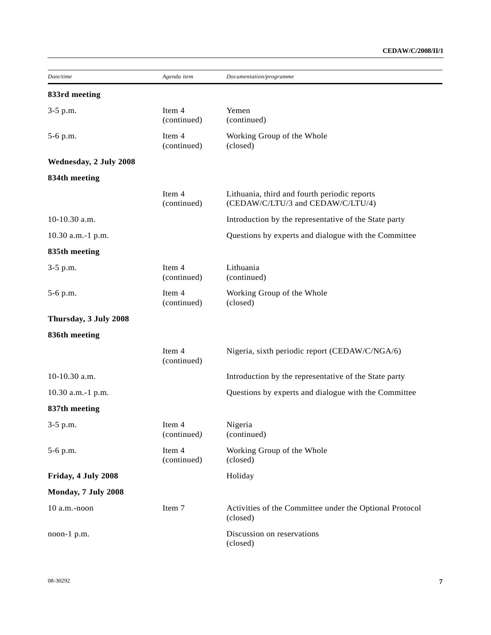| Date/time              | Agenda item           | Documentation/programme                                                           |
|------------------------|-----------------------|-----------------------------------------------------------------------------------|
| 833rd meeting          |                       |                                                                                   |
| 3-5 p.m.               | Item 4<br>(continued) | Yemen<br>(continued)                                                              |
| 5-6 p.m.               | Item 4<br>(continued) | Working Group of the Whole<br>(closed)                                            |
| Wednesday, 2 July 2008 |                       |                                                                                   |
| 834th meeting          |                       |                                                                                   |
|                        | Item 4<br>(continued) | Lithuania, third and fourth periodic reports<br>(CEDAW/C/LTU/3 and CEDAW/C/LTU/4) |
| 10-10.30 a.m.          |                       | Introduction by the representative of the State party                             |
| 10.30 a.m.-1 p.m.      |                       | Questions by experts and dialogue with the Committee                              |
| 835th meeting          |                       |                                                                                   |
| 3-5 p.m.               | Item 4<br>(continued) | Lithuania<br>(continued)                                                          |
| 5-6 p.m.               | Item 4<br>(continued) | Working Group of the Whole<br>(closed)                                            |
| Thursday, 3 July 2008  |                       |                                                                                   |
| 836th meeting          |                       |                                                                                   |
|                        | Item 4<br>(continued) | Nigeria, sixth periodic report (CEDAW/C/NGA/6)                                    |
| 10-10.30 a.m.          |                       | Introduction by the representative of the State party                             |
| 10.30 a.m.-1 p.m.      |                       | Questions by experts and dialogue with the Committee                              |
| 837th meeting          |                       |                                                                                   |
| 3-5 p.m.               | Item 4<br>(continued) | Nigeria<br>(continued)                                                            |
| 5-6 p.m.               | Item 4<br>(continued) | Working Group of the Whole<br>(closed)                                            |
| Friday, 4 July 2008    |                       | Holiday                                                                           |
| Monday, 7 July 2008    |                       |                                                                                   |
| 10 a.m.-noon           | Item 7                | Activities of the Committee under the Optional Protocol<br>(closed)               |
| noon-1 p.m.            |                       | Discussion on reservations<br>(closed)                                            |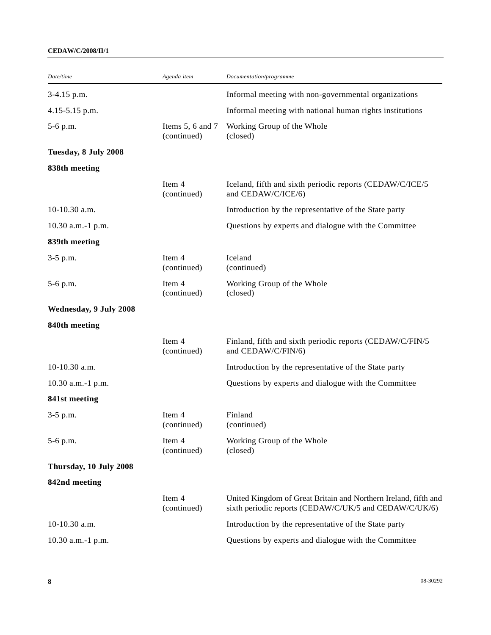# **CEDAW/C/2008/II/1**

| Date/time              | Agenda item                     | Documentation/programme                                                                                                   |
|------------------------|---------------------------------|---------------------------------------------------------------------------------------------------------------------------|
| 3-4.15 p.m.            |                                 | Informal meeting with non-governmental organizations                                                                      |
| 4.15-5.15 p.m.         |                                 | Informal meeting with national human rights institutions                                                                  |
| 5-6 p.m.               | Items 5, 6 and 7<br>(continued) | Working Group of the Whole<br>(closed)                                                                                    |
| Tuesday, 8 July 2008   |                                 |                                                                                                                           |
| 838th meeting          |                                 |                                                                                                                           |
|                        | Item 4<br>(continued)           | Iceland, fifth and sixth periodic reports (CEDAW/C/ICE/5<br>and CEDAW/C/ICE/6)                                            |
| $10-10.30$ a.m.        |                                 | Introduction by the representative of the State party                                                                     |
| 10.30 a.m.-1 p.m.      |                                 | Questions by experts and dialogue with the Committee                                                                      |
| 839th meeting          |                                 |                                                                                                                           |
| $3-5$ p.m.             | Item 4<br>(continued)           | Iceland<br>(continued)                                                                                                    |
| 5-6 p.m.               | Item 4<br>(continued)           | Working Group of the Whole<br>(closed)                                                                                    |
| Wednesday, 9 July 2008 |                                 |                                                                                                                           |
| 840th meeting          |                                 |                                                                                                                           |
|                        | Item 4<br>(continued)           | Finland, fifth and sixth periodic reports (CEDAW/C/FIN/5<br>and CEDAW/C/FIN/6)                                            |
| 10-10.30 a.m.          |                                 | Introduction by the representative of the State party                                                                     |
| 10.30 a.m.-1 p.m.      |                                 | Questions by experts and dialogue with the Committee                                                                      |
| 841st meeting          |                                 |                                                                                                                           |
| $3-5$ p.m.             | Item 4<br>(continued)           | Finland<br>(continued)                                                                                                    |
| 5-6 p.m.               | Item 4<br>(continued)           | Working Group of the Whole<br>(closed)                                                                                    |
| Thursday, 10 July 2008 |                                 |                                                                                                                           |
| 842nd meeting          |                                 |                                                                                                                           |
|                        | Item 4<br>(continued)           | United Kingdom of Great Britain and Northern Ireland, fifth and<br>sixth periodic reports (CEDAW/C/UK/5 and CEDAW/C/UK/6) |
| $10-10.30$ a.m.        |                                 | Introduction by the representative of the State party                                                                     |
| 10.30 a.m.-1 p.m.      |                                 | Questions by experts and dialogue with the Committee                                                                      |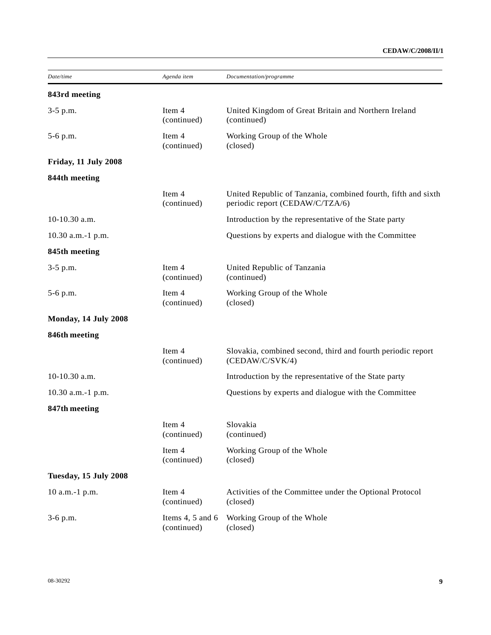# **CEDAW/C/2008/II/1**

| Date/time                   | Agenda item                     | Documentation/programme                                                                          |  |  |
|-----------------------------|---------------------------------|--------------------------------------------------------------------------------------------------|--|--|
| 843rd meeting               |                                 |                                                                                                  |  |  |
| 3-5 p.m.                    | Item 4<br>(continued)           | United Kingdom of Great Britain and Northern Ireland<br>(continued)                              |  |  |
| 5-6 p.m.                    | Item 4<br>(continued)           | Working Group of the Whole<br>(closed)                                                           |  |  |
| Friday, 11 July 2008        |                                 |                                                                                                  |  |  |
| 844th meeting               |                                 |                                                                                                  |  |  |
|                             | Item 4<br>(continued)           | United Republic of Tanzania, combined fourth, fifth and sixth<br>periodic report (CEDAW/C/TZA/6) |  |  |
| 10-10.30 a.m.               |                                 | Introduction by the representative of the State party                                            |  |  |
| 10.30 a.m.-1 p.m.           |                                 | Questions by experts and dialogue with the Committee                                             |  |  |
| 845th meeting               |                                 |                                                                                                  |  |  |
| 3-5 p.m.                    | Item 4<br>(continued)           | United Republic of Tanzania<br>(continued)                                                       |  |  |
| 5-6 p.m.                    | Item 4<br>(continued)           | Working Group of the Whole<br>(closed)                                                           |  |  |
| <b>Monday, 14 July 2008</b> |                                 |                                                                                                  |  |  |
| 846th meeting               |                                 |                                                                                                  |  |  |
|                             | Item 4<br>(continued)           | Slovakia, combined second, third and fourth periodic report<br>(CEDAW/C/SVK/4)                   |  |  |
| $10-10.30$ a.m.             |                                 | Introduction by the representative of the State party                                            |  |  |
| 10.30 a.m.-1 p.m.           |                                 | Questions by experts and dialogue with the Committee                                             |  |  |
| 847th meeting               |                                 |                                                                                                  |  |  |
|                             | Item 4<br>(continued)           | Slovakia<br>(continued)                                                                          |  |  |
|                             | Item 4<br>(continued)           | Working Group of the Whole<br>(closed)                                                           |  |  |
| Tuesday, 15 July 2008       |                                 |                                                                                                  |  |  |
| 10 a.m.-1 p.m.              | Item 4<br>(continued)           | Activities of the Committee under the Optional Protocol<br>(closed)                              |  |  |
| $3-6$ p.m.                  | Items 4, 5 and 6<br>(continued) | Working Group of the Whole<br>(closed)                                                           |  |  |